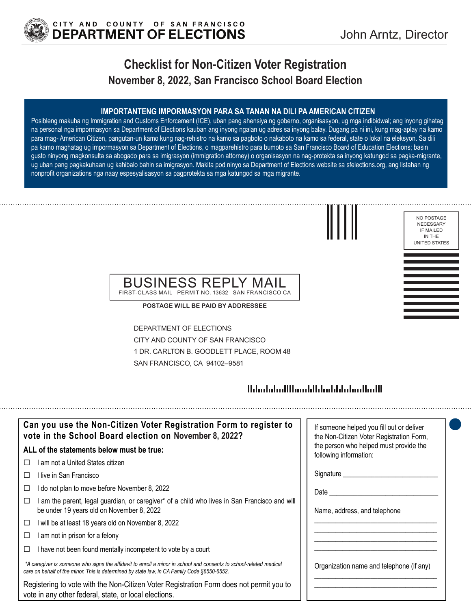

# **Checklist for Non-Citizen Voter Registration November 8, 2022, San Francisco School Board Election**

### **IMPORTANTENG IMPORMASYON PARA SA TANAN NA DILI PA AMERICAN CITIZEN**

Posibleng makuha ng Immigration and Customs Enforcement (ICE), uban pang ahensiya ng goberno, organisasyon, ug mga indibidwal; ang inyong gihatag na personal nga impormasyon sa Department of Elections kauban ang inyong ngalan ug adres sa inyong balay. Dugang pa ni ini, kung mag-aplay na kamo para mag- American Citizen, pangutan-un kamo kung nag-rehistro na kamo sa pagboto o nakaboto na kamo sa federal, state o lokal na eleksyon. Sa dili pa kamo maghatag ug impormasyon sa Department of Elections, o magparehistro para bumoto sa San Francisco Board of Education Elections; basin gusto ninyong magkonsulta sa abogado para sa imigrasyon (immigration attorney) o organisasyon na nag-protekta sa inyong katungod sa pagka-migrante, ug uban pang pagkakuhaan ug kahibalo bahin sa imigrasyon. Makita pod ninyo sa Department of Elections website sa sfelections.org, ang listahan ng nonprofit organizations nga naay espesyalisasyon sa pagprotekta sa mga katungod sa mga migrante.





## BUSINESS REPLY MAIL FIRST-CLASS MAIL PERMIT NO. 13632 SAN FRANCISCO CA

**POSTAGE WILL BE PAID BY ADDRESSEE**

DEPARTMENT OF ELECTIONS CITY AND COUNTY OF SAN FRANCISCO 1 DR. CARLTON B. GOODLETT PLACE, ROOM 48 SAN FRANCISCO, CA 94102–9581

## 

| Can you use the Non-Citizen Voter Registration Form to register to<br>vote in the School Board election on November 8, 2022?                                                                                      | If someone helped you fill out or deliver<br>the Non-Citizen Voter Registration Form, |
|-------------------------------------------------------------------------------------------------------------------------------------------------------------------------------------------------------------------|---------------------------------------------------------------------------------------|
| ALL of the statements below must be true:                                                                                                                                                                         | the person who helped must provide the<br>following information:                      |
| I am not a United States citizen.<br>П                                                                                                                                                                            |                                                                                       |
| l live in San Francisco                                                                                                                                                                                           | Signature                                                                             |
| I do not plan to move before November 8, 2022                                                                                                                                                                     | Date                                                                                  |
| am the parent, legal guardian, or caregiver* of a child who lives in San Francisco and will<br>be under 19 years old on November 8, 2022                                                                          | Name, address, and telephone                                                          |
| I will be at least 18 years old on November 8, 2022<br>□                                                                                                                                                          |                                                                                       |
| I am not in prison for a felony                                                                                                                                                                                   |                                                                                       |
| I have not been found mentally incompetent to vote by a court                                                                                                                                                     |                                                                                       |
| *A caregiver is someone who signs the affidavit to enroll a minor in school and consents to school-related medical<br>care on behalf of the minor. This is determined by state law, in CA Family Code §6550-6552. | Organization name and telephone (if any)                                              |
| Registering to vote with the Non-Citizen Voter Registration Form does not permit you to<br>vote in any other federal, state, or local elections.                                                                  |                                                                                       |